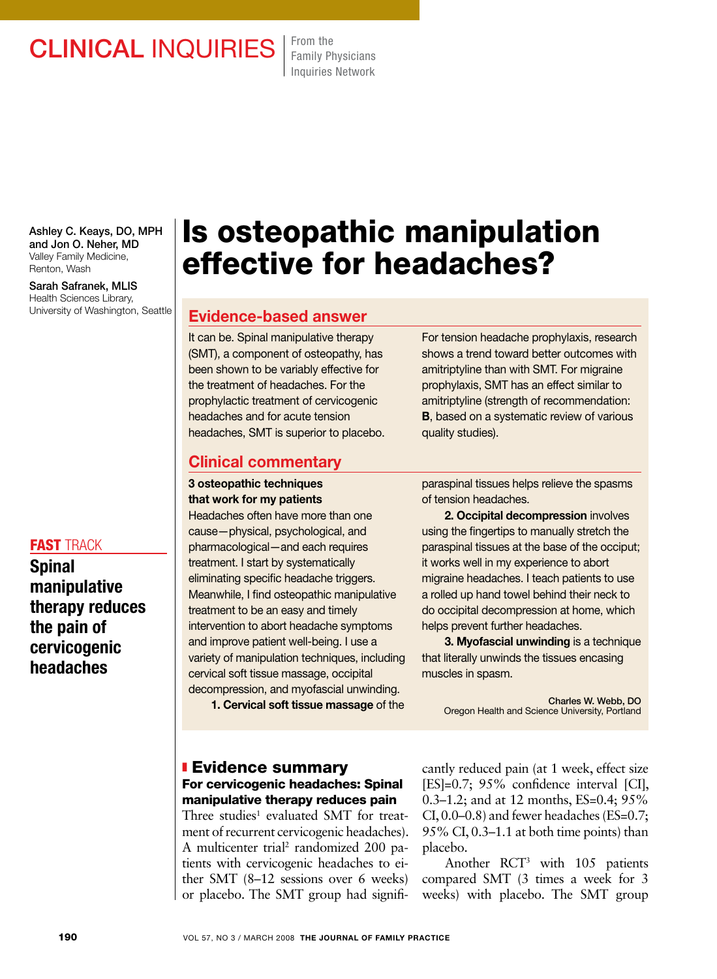## CLINICAL INQUIRIES From the

Family Physicians Inquiries Network

Ashley C. Keays, DO, MPH and Jon O. Neher, MD Valley Family Medicine, Renton, Wash

Sarah Safranek, MLIS Health Sciences Library, University of Washington, Seattle

#### **FAST TRACK**

Spinal manipulative therapy reduces the pain of cervicogenic headaches

# Is osteopathic manipulation effective for headaches?

## Evidence-based answer

It can be. Spinal manipulative therapy (SMT), a component of osteopathy, has been shown to be variably effective for the treatment of headaches. For the prophylactic treatment of cervicogenic headaches and for acute tension headaches, SMT is superior to placebo. For tension headache prophylaxis, research shows a trend toward better outcomes with amitriptyline than with SMT. For migraine prophylaxis, SMT has an effect similar to amitriptyline (strength of recommendation: **B**, based on a systematic review of various quality studies).

#### Clinical commentary

#### 3 osteopathic techniques that work for my patients

Headaches often have more than one cause—physical, psychological, and pharmacological—and each requires treatment. I start by systematically eliminating specific headache triggers. Meanwhile, I find osteopathic manipulative treatment to be an easy and timely intervention to abort headache symptoms and improve patient well-being. I use a variety of manipulation techniques, including cervical soft tissue massage, occipital decompression, and myofascial unwinding.

1. Cervical soft tissue massage of the

#### **Evidence summary** For cervicogenic headaches: Spinal manipulative therapy reduces pain

Three studies<sup>1</sup> evaluated SMT for treatment of recurrent cervicogenic headaches). A multicenter trial<sup>2</sup> randomized 200 patients with cervicogenic headaches to either SMT (8–12 sessions over 6 weeks) or placebo. The SMT group had signifiparaspinal tissues helps relieve the spasms of tension headaches.

2. Occipital decompression involves using the fingertips to manually stretch the paraspinal tissues at the base of the occiput; it works well in my experience to abort migraine headaches. I teach patients to use a rolled up hand towel behind their neck to do occipital decompression at home, which helps prevent further headaches.

3. Myofascial unwinding is a technique that literally unwinds the tissues encasing muscles in spasm.

Charles W. Webb, DO Oregon Health and Science University, Portland

cantly reduced pain (at 1 week, effect size [ES]=0.7; 95% confidence interval [CI], 0.3–1.2; and at 12 months, ES=0.4; 95% CI,  $0.0-0.8$ ) and fewer headaches (ES=0.7; 95% CI, 0.3–1.1 at both time points) than placebo.

Another RCT3 with 105 patients compared SMT (3 times a week for 3 weeks) with placebo. The SMT group